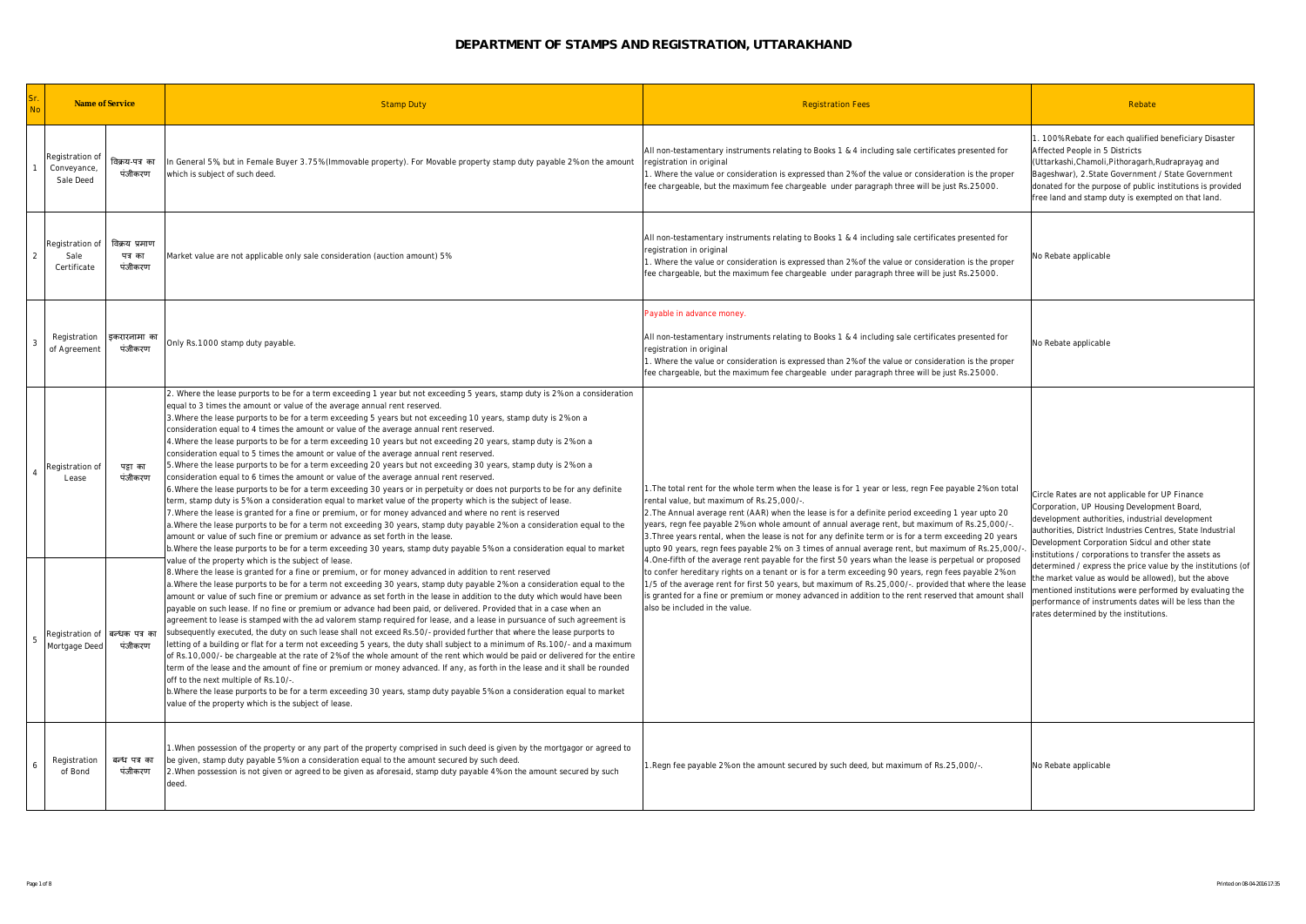| <b>No</b> | Name of Service                                  |                                     | <b>Stamp Duty</b>                                                                                                                                                                                                                                                                                                                                                                                                                                                                                                                                                                                                                                                                                                                                                                                                                                                                                                                                                                                                                                                                                                                                                                                                                                                                                                                                                                                                                                                                                                                                                                                                                                                                                                                                                                                                                                                                                                                                                                                                                                                                                                                                                                                                                                                                                                                                                                                                                                                                                                                                                                                                                                                                                                                                                                                                                                                                                                                                                                                                 | <b>Registration Fees</b>                                                                                                                                                                                                                                                                                                                                                                                                                                                                                                                                                | Rebate                                                                                                                                                                                                                                                                                                                   |
|-----------|--------------------------------------------------|-------------------------------------|-------------------------------------------------------------------------------------------------------------------------------------------------------------------------------------------------------------------------------------------------------------------------------------------------------------------------------------------------------------------------------------------------------------------------------------------------------------------------------------------------------------------------------------------------------------------------------------------------------------------------------------------------------------------------------------------------------------------------------------------------------------------------------------------------------------------------------------------------------------------------------------------------------------------------------------------------------------------------------------------------------------------------------------------------------------------------------------------------------------------------------------------------------------------------------------------------------------------------------------------------------------------------------------------------------------------------------------------------------------------------------------------------------------------------------------------------------------------------------------------------------------------------------------------------------------------------------------------------------------------------------------------------------------------------------------------------------------------------------------------------------------------------------------------------------------------------------------------------------------------------------------------------------------------------------------------------------------------------------------------------------------------------------------------------------------------------------------------------------------------------------------------------------------------------------------------------------------------------------------------------------------------------------------------------------------------------------------------------------------------------------------------------------------------------------------------------------------------------------------------------------------------------------------------------------------------------------------------------------------------------------------------------------------------------------------------------------------------------------------------------------------------------------------------------------------------------------------------------------------------------------------------------------------------------------------------------------------------------------------------------------------------|-------------------------------------------------------------------------------------------------------------------------------------------------------------------------------------------------------------------------------------------------------------------------------------------------------------------------------------------------------------------------------------------------------------------------------------------------------------------------------------------------------------------------------------------------------------------------|--------------------------------------------------------------------------------------------------------------------------------------------------------------------------------------------------------------------------------------------------------------------------------------------------------------------------|
|           | Registration of<br>Conveyance,<br>Sale Deed      | विक्रय-पत्र का<br>पंजीकरण           | In General 5%, but in Female Buyer 3.75% (Immovable property). For Movable property stamp duty payable 2% on the amount<br>which is subject of such deed.                                                                                                                                                                                                                                                                                                                                                                                                                                                                                                                                                                                                                                                                                                                                                                                                                                                                                                                                                                                                                                                                                                                                                                                                                                                                                                                                                                                                                                                                                                                                                                                                                                                                                                                                                                                                                                                                                                                                                                                                                                                                                                                                                                                                                                                                                                                                                                                                                                                                                                                                                                                                                                                                                                                                                                                                                                                         | All non-testamentary instruments relating to Books 1 & 4 including sale certificates presented for<br>registration in original<br>. Where the value or consideration is expressed than 2% of the value or consideration is the proper<br>fee chargeable, but the maximum fee chargeable under paragraph three will be just Rs.25000.                                                                                                                                                                                                                                    | 1. 100% Rebate for each qualified beneficiary Disaster<br>Affected People in 5 Districts<br>(Uttarkashi, Chamoli, Pithoragarh, Rudraprayag and<br>Bageshwar), 2.State Government / State Government<br>donated for the purpose of public institutions is provided<br>free land and stamp duty is exempted on that land.  |
|           | Registration of<br>Sale<br>Certificate           | विक्रय प्रमाण<br>पत्र का<br>पंजीकरण | Market value are not applicable only sale consideration (auction amount) 5%                                                                                                                                                                                                                                                                                                                                                                                                                                                                                                                                                                                                                                                                                                                                                                                                                                                                                                                                                                                                                                                                                                                                                                                                                                                                                                                                                                                                                                                                                                                                                                                                                                                                                                                                                                                                                                                                                                                                                                                                                                                                                                                                                                                                                                                                                                                                                                                                                                                                                                                                                                                                                                                                                                                                                                                                                                                                                                                                       | All non-testamentary instruments relating to Books 1 & 4 including sale certificates presented for<br>registration in original<br>1. Where the value or consideration is expressed than 2% of the value or consideration is the proper<br>fee chargeable, but the maximum fee chargeable under paragraph three will be just Rs.25000.                                                                                                                                                                                                                                   | No Rebate applicable                                                                                                                                                                                                                                                                                                     |
|           | Registration<br>of Agreement                     | इकरारनामा का<br>पंजीकरण             | Only Rs.1000 stamp duty payable.                                                                                                                                                                                                                                                                                                                                                                                                                                                                                                                                                                                                                                                                                                                                                                                                                                                                                                                                                                                                                                                                                                                                                                                                                                                                                                                                                                                                                                                                                                                                                                                                                                                                                                                                                                                                                                                                                                                                                                                                                                                                                                                                                                                                                                                                                                                                                                                                                                                                                                                                                                                                                                                                                                                                                                                                                                                                                                                                                                                  | Payable in advance money.<br>All non-testamentary instruments relating to Books 1 & 4 including sale certificates presented for<br>registration in original<br>I. Where the value or consideration is expressed than 2% of the value or consideration is the proper<br>fee chargeable, but the maximum fee chargeable under paragraph three will be just Rs.25000.                                                                                                                                                                                                      | No Rebate applicable                                                                                                                                                                                                                                                                                                     |
|           | Registration of<br>Lease                         | पद्रा का<br>पंजीकरण                 | 2. Where the lease purports to be for a term exceeding 1 year but not exceeding 5 years, stamp duty is 2% on a consideration<br>equal to 3 times the amount or value of the average annual rent reserved.<br>3. Where the lease purports to be for a term exceeding 5 years but not exceeding 10 years, stamp duty is 2% on a<br>consideration equal to 4 times the amount or value of the average annual rent reserved.<br>4. Where the lease purports to be for a term exceeding 10 years but not exceeding 20 years, stamp duty is 2% on a<br>consideration equal to 5 times the amount or value of the average annual rent reserved.<br>5. Where the lease purports to be for a term exceeding 20 years but not exceeding 30 years, stamp duty is 2% on a<br>consideration equal to 6 times the amount or value of the average annual rent reserved.<br>6. Where the lease purports to be for a term exceeding 30 years or in perpetuity or does not purports to be for any definite<br>term, stamp duty is 5% on a consideration equal to market value of the property which is the subject of lease.<br>7. Where the lease is granted for a fine or premium, or for money advanced and where no rent is reserved<br>a. Where the lease purports to be for a term not exceeding 30 years, stamp duty payable 2% on a consideration equal to the<br>amount or value of such fine or premium or advance as set forth in the lease.<br>b. Where the lease purports to be for a term exceeding 30 years, stamp duty payable 5% on a consideration equal to market<br>value of the property which is the subject of lease.<br>8. Where the lease is granted for a fine or premium, or for money advanced in addition to rent reserved<br>a. Where the lease purports to be for a term not exceeding 30 years, stamp duty payable 2% on a consideration equal to the<br>amount or value of such fine or premium or advance as set forth in the lease in addition to the duty which would have been<br>payable on such lease. If no fine or premium or advance had been paid, or delivered. Provided that in a case when an<br>agreement to lease is stamped with the ad valorem stamp required for lease, and a lease in pursuance of such agreement is<br>subsequently executed, the duty on such lease shall not exceed Rs.50/- provided further that where the lease purports to<br>letting of a building or flat for a term not exceeding 5 years, the duty shall subject to a minimum of Rs.100/- and a maximum<br>of Rs.10,000/- be chargeable at the rate of 2% of the whole amount of the rent which would be paid or delivered for the entire<br>term of the lease and the amount of fine or premium or money advanced. If any, as forth in the lease and it shall be rounded<br>off to the next multiple of Rs.10/-<br>b. Where the lease purports to be for a term exceeding 30 years, stamp duty payable 5% on a consideration equal to market<br>value of the property which is the subject of lease. | The total rent for the whole term when the lease is for 1 year or less, regn Fee payable 2% on total<br>rental value, but maximum of Rs.25,000/-.<br>2. The Annual average rent (AAR) when the lease is for a definite period exceeding 1 year upto 20<br>years, regn fee payable 2% on whole amount of annual average rent, but maximum of Rs.25,000/-.<br>3. Three years rental, when the lease is not for any definite term or is for a term exceeding 20 years<br>upto 90 years, regn fees payable 2% on 3 times of annual average rent, but maximum of Rs.25,000/- | Circle Rates are not applicable for UP Finance<br>Corporation, UP Housing Development Board,<br>development authorities, industrial development<br>authorities, District Industries Centres, State Industrial<br>Development Corporation Sidcul and other state<br>institutions / corporations to transfer the assets as |
| 5         | Registration of   बन्धक पत्र का<br>Mortgage Deed | पंजीकरण                             |                                                                                                                                                                                                                                                                                                                                                                                                                                                                                                                                                                                                                                                                                                                                                                                                                                                                                                                                                                                                                                                                                                                                                                                                                                                                                                                                                                                                                                                                                                                                                                                                                                                                                                                                                                                                                                                                                                                                                                                                                                                                                                                                                                                                                                                                                                                                                                                                                                                                                                                                                                                                                                                                                                                                                                                                                                                                                                                                                                                                                   | 4. One-fifth of the average rent payable for the first 50 years whan the lease is perpetual or proposed<br>to confer hereditary rights on a tenant or is for a term exceeding 90 years, regn fees payable 2% on<br>1/5 of the average rent for first 50 years, but maximum of Rs.25,000/-. provided that where the lease<br>is granted for a fine or premium or money advanced in addition to the rent reserved that amount shall<br>also be included in the value.                                                                                                     | determined / express the price value by the institutions (of<br>the market value as would be allowed), but the above<br>mentioned institutions were performed by evaluating the<br>performance of instruments dates will be less than the<br>rates determined by the institutions.                                       |
|           | Registration<br>of Bond                          | बन्ध पत्र का<br>पंजीकरण             | 1. When possession of the property or any part of the property comprised in such deed is given by the mortgagor or agreed to<br>be given, stamp duty payable 5% on a consideration equal to the amount secured by such deed.<br>2. When possession is not given or agreed to be given as aforesaid, stamp duty payable 4% on the amount secured by such<br>deed                                                                                                                                                                                                                                                                                                                                                                                                                                                                                                                                                                                                                                                                                                                                                                                                                                                                                                                                                                                                                                                                                                                                                                                                                                                                                                                                                                                                                                                                                                                                                                                                                                                                                                                                                                                                                                                                                                                                                                                                                                                                                                                                                                                                                                                                                                                                                                                                                                                                                                                                                                                                                                                   | .Regn fee payable 2% on the amount secured by such deed, but maximum of Rs.25,000/-.                                                                                                                                                                                                                                                                                                                                                                                                                                                                                    | No Rebate applicable                                                                                                                                                                                                                                                                                                     |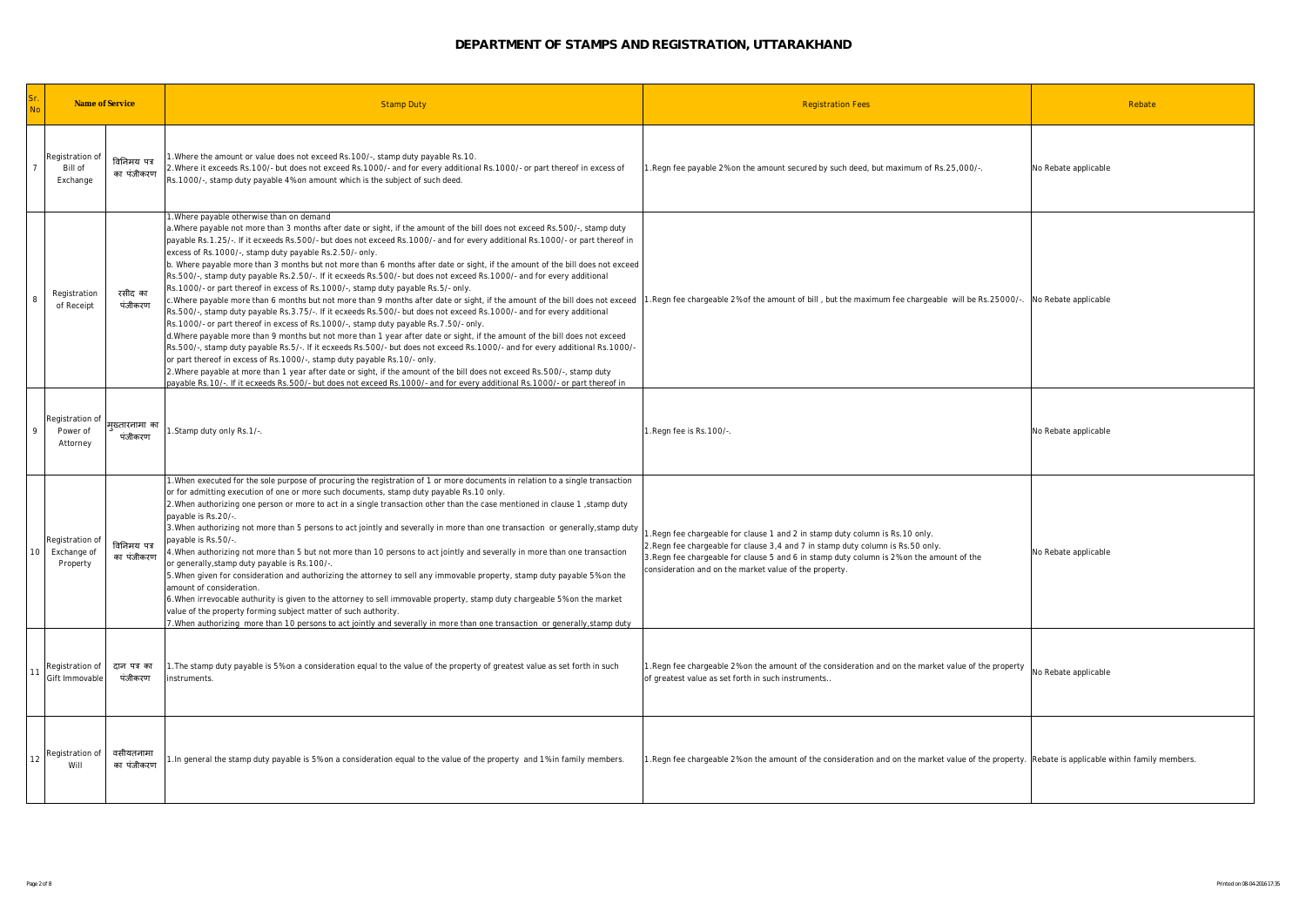| <b>No</b>                                                    | Name of Service           | <b>Stamp Duty</b>                                                                                                                                                                                                                                                                                                                                                                                                                                                                                                                                                                                                                                                                                                                                                                                                                                                                                                                                                                                                                                                                                                                                                                                                                                                                                                                                                                                                                                                                                                                                                                                                                                                            | <b>Registration Fees</b>                                                                                                                                                                                                                                                                                                | Rebate               |
|--------------------------------------------------------------|---------------------------|------------------------------------------------------------------------------------------------------------------------------------------------------------------------------------------------------------------------------------------------------------------------------------------------------------------------------------------------------------------------------------------------------------------------------------------------------------------------------------------------------------------------------------------------------------------------------------------------------------------------------------------------------------------------------------------------------------------------------------------------------------------------------------------------------------------------------------------------------------------------------------------------------------------------------------------------------------------------------------------------------------------------------------------------------------------------------------------------------------------------------------------------------------------------------------------------------------------------------------------------------------------------------------------------------------------------------------------------------------------------------------------------------------------------------------------------------------------------------------------------------------------------------------------------------------------------------------------------------------------------------------------------------------------------------|-------------------------------------------------------------------------------------------------------------------------------------------------------------------------------------------------------------------------------------------------------------------------------------------------------------------------|----------------------|
| Registration of<br>Bill of<br>Exchange                       | विनिमय पत्र<br>का पंजीकरण | 1. Where the amount or value does not exceed Rs. 100/-, stamp duty payable Rs. 10.<br>2. Where it exceeds Rs. 100/- but does not exceed Rs. 1000/- and for every additional Rs. 1000/- or part thereof in excess of<br>Rs.1000/-, stamp duty payable 4% on amount which is the subject of such deed.                                                                                                                                                                                                                                                                                                                                                                                                                                                                                                                                                                                                                                                                                                                                                                                                                                                                                                                                                                                                                                                                                                                                                                                                                                                                                                                                                                         | 1. Regn fee payable 2% on the amount secured by such deed, but maximum of Rs. 25,000/-.                                                                                                                                                                                                                                 | No Rebate applicable |
| Registration<br>8<br>of Receipt                              | रसीद का<br>पंजीकरण        | 1. Where payable otherwise than on demand<br>a. Where payable not more than 3 months after date or sight, if the amount of the bill does not exceed Rs. 500/-, stamp duty<br>payable Rs.1.25/-. If it ecxeeds Rs.500/- but does not exceed Rs.1000/- and for every additional Rs.1000/- or part thereof in<br>excess of Rs.1000/-, stamp duty payable Rs.2.50/- only.<br>b. Where payable more than 3 months but not more than 6 months after date or sight, if the amount of the bill does not exceed<br>Rs.500/-, stamp duty payable Rs.2.50/-. If it ecxeeds Rs.500/- but does not exceed Rs.1000/- and for every additional<br>Rs.1000/- or part thereof in excess of Rs.1000/-, stamp duty payable Rs.5/- only.<br>c.Where payable more than 6 months but not more than 9 months after date or sight, if the amount of the bill does not exceed<br>Rs.500/-, stamp duty payable Rs.3.75/-. If it ecxeeds Rs.500/- but does not exceed Rs.1000/- and for every additional<br>Rs.1000/- or part thereof in excess of Rs.1000/-, stamp duty payable Rs.7.50/- only.<br>d. Where payable more than 9 months but not more than 1 year after date or sight, if the amount of the bill does not exceed<br>Rs.500/-, stamp duty payable Rs.5/-. If it ecxeeds Rs.500/- but does not exceed Rs.1000/- and for every additional Rs.1000/-<br>or part thereof in excess of Rs.1000/-, stamp duty payable Rs.10/- only.<br>2. Where payable at more than 1 year after date or sight, if the amount of the bill does not exceed Rs. 500/-, stamp duty<br>payable Rs.10/-. If it ecxeeds Rs.500/- but does not exceed Rs.1000/- and for every additional Rs.1000/- or part thereof in | 1. Regn fee chargeable 2% of the amount of bill, but the maximum fee chargeable will be Rs. 25000/-.                                                                                                                                                                                                                    | No Rebate applicable |
| Registration of<br>9<br>Power of<br>Attorney                 | मखतारनामा का<br>पंजीकरण   | 1.Stamp duty only Rs.1/-.                                                                                                                                                                                                                                                                                                                                                                                                                                                                                                                                                                                                                                                                                                                                                                                                                                                                                                                                                                                                                                                                                                                                                                                                                                                                                                                                                                                                                                                                                                                                                                                                                                                    | 1.Regn fee is Rs.100/-                                                                                                                                                                                                                                                                                                  | No Rebate applicable |
| Registration o<br>10 <sup>1</sup><br>Exchange of<br>Property | विनिमय पत्र<br>का पंजीकरण | 1. When executed for the sole purpose of procuring the registration of 1 or more documents in relation to a single transaction<br>or for admitting execution of one or more such documents, stamp duty payable Rs.10 only.<br>2. When authorizing one person or more to act in a single transaction other than the case mentioned in clause 1, stamp duty<br>payable is Rs.20/-.<br>3. When authorizing not more than 5 persons to act jointly and severally in more than one transaction or generally, stamp duty<br>payable is Rs.50/-<br>4. When authorizing not more than 5 but not more than 10 persons to act jointly and severally in more than one transaction<br>or generally, stamp duty payable is Rs. 100/-<br>5. When given for consideration and authorizing the attorney to sell any immovable property, stamp duty payable 5% on the<br>amount of consideration.<br>6. When irrevocable authurity is given to the attorney to sell immovable property, stamp duty chargeable 5% on the market<br>value of the property forming subject matter of such authority.<br>7. When authorizing more than 10 persons to act jointly and severally in more than one transaction or generally, stamp duty                                                                                                                                                                                                                                                                                                                                                                                                                                                              | .Regn fee chargeable for clause 1 and 2 in stamp duty column is Rs. 10 only.<br>2. Regn fee chargeable for clause 3,4 and 7 in stamp duty column is Rs. 50 only.<br>3. Regn fee chargeable for clause 5 and 6 in stamp duty column is 2% on the amount of the<br>consideration and on the market value of the property. | No Rebate applicable |
| Registration of<br>11<br>Gift Immovable                      | दान पत्र का<br>पंजीकरण    | 1. The stamp duty payable is 5% on a consideration equal to the value of the property of greatest value as set forth in such<br>instruments.                                                                                                                                                                                                                                                                                                                                                                                                                                                                                                                                                                                                                                                                                                                                                                                                                                                                                                                                                                                                                                                                                                                                                                                                                                                                                                                                                                                                                                                                                                                                 | 1. Regn fee chargeable 2% on the amount of the consideration and on the market value of the property<br>of greatest value as set forth in such instruments.                                                                                                                                                             | No Rebate applicable |
| Registration of<br>12<br>Will                                | वसीयतनामा<br>का पंजीकरण   | 1. In general the stamp duty payable is 5% on a consideration equal to the value of the property and 1% in family members.                                                                                                                                                                                                                                                                                                                                                                                                                                                                                                                                                                                                                                                                                                                                                                                                                                                                                                                                                                                                                                                                                                                                                                                                                                                                                                                                                                                                                                                                                                                                                   | I. Regn fee chargeable 2% on the amount of the consideration and on the market value of the property. Rebate is applicable within family members.                                                                                                                                                                       |                      |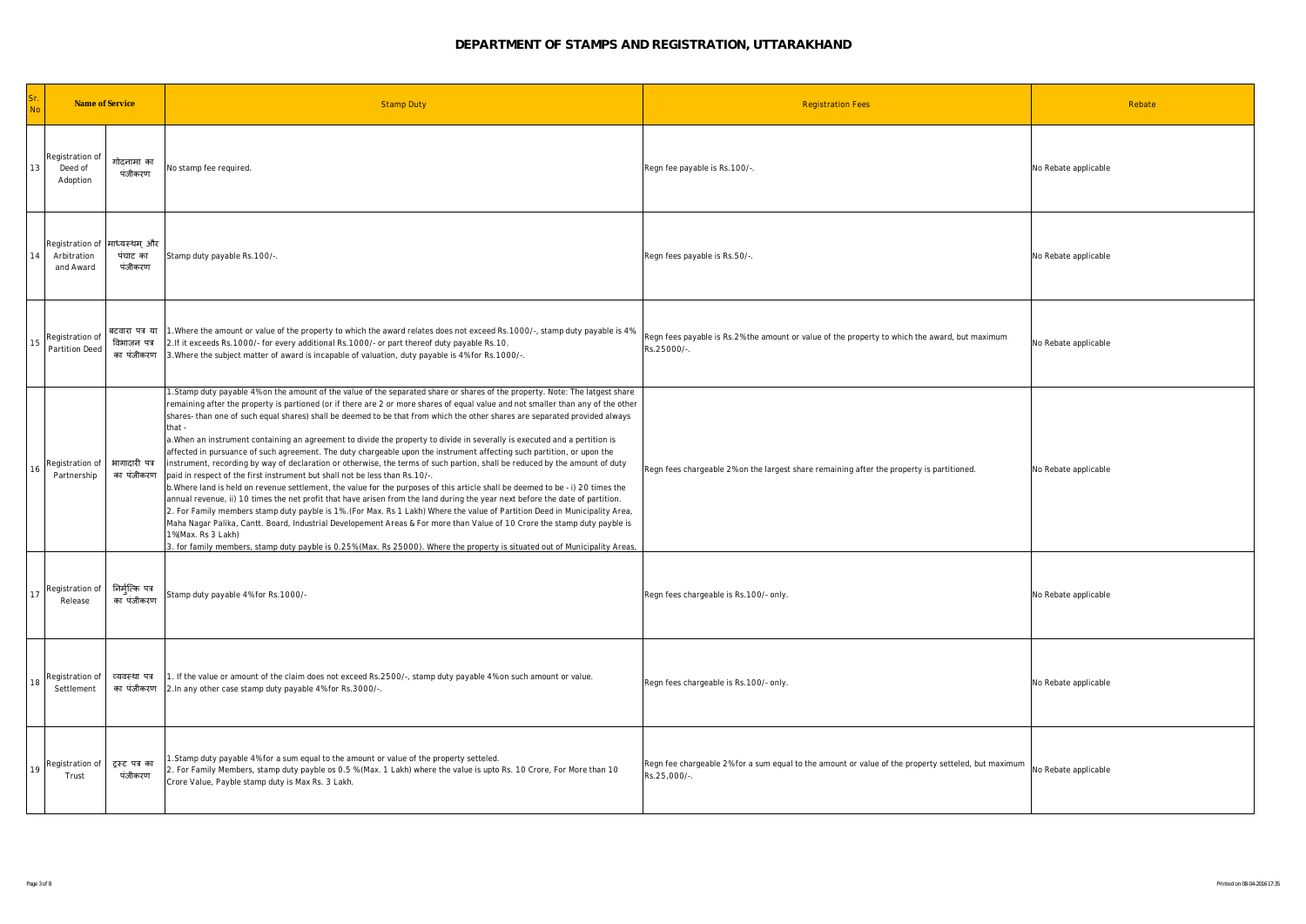| <b>No</b> | Name of Service                                          |                                             | <b>Stamp Duty</b>                                                                                                                                                                                                                                                                                                                                                                                                                                                                                                                                                                                                                                                                                                                                                                                                                                                                                                                                                                                                                                                                                                                                                                                                                                                                                                                                                                                                                                                                                                                                                       | <b>Registration Fees</b>                                                                                           | Rebate               |
|-----------|----------------------------------------------------------|---------------------------------------------|-------------------------------------------------------------------------------------------------------------------------------------------------------------------------------------------------------------------------------------------------------------------------------------------------------------------------------------------------------------------------------------------------------------------------------------------------------------------------------------------------------------------------------------------------------------------------------------------------------------------------------------------------------------------------------------------------------------------------------------------------------------------------------------------------------------------------------------------------------------------------------------------------------------------------------------------------------------------------------------------------------------------------------------------------------------------------------------------------------------------------------------------------------------------------------------------------------------------------------------------------------------------------------------------------------------------------------------------------------------------------------------------------------------------------------------------------------------------------------------------------------------------------------------------------------------------------|--------------------------------------------------------------------------------------------------------------------|----------------------|
| 13        | Registration of<br>Deed of<br>Adoption                   | गोदनामा का<br>पंजीकरण                       | No stamp fee required.                                                                                                                                                                                                                                                                                                                                                                                                                                                                                                                                                                                                                                                                                                                                                                                                                                                                                                                                                                                                                                                                                                                                                                                                                                                                                                                                                                                                                                                                                                                                                  | Regn fee payable is Rs.100/-.                                                                                      | No Rebate applicable |
| 14        | Registration of साध्यस्थम और<br>Arbitration<br>and Award | पंचाट का<br>पंजीकरण                         | Stamp duty payable Rs. 100/-.                                                                                                                                                                                                                                                                                                                                                                                                                                                                                                                                                                                                                                                                                                                                                                                                                                                                                                                                                                                                                                                                                                                                                                                                                                                                                                                                                                                                                                                                                                                                           | Regn fees payable is Rs.50/-.                                                                                      | No Rebate applicable |
| 15        | Registration of<br>Partition Deed                        | बटवारा पत्र या<br>विभाजन पत्र<br>का पंजीकरण | 1. Where the amount or value of the property to which the award relates does not exceed Rs.1000/-, stamp duty payable is 4%.<br>2. If it exceeds Rs. 1000/- for every additional Rs. 1000/- or part thereof duty payable Rs. 10.<br>3. Where the subject matter of award is incapable of valuation, duty payable is 4% for Rs. 1000/-.                                                                                                                                                                                                                                                                                                                                                                                                                                                                                                                                                                                                                                                                                                                                                                                                                                                                                                                                                                                                                                                                                                                                                                                                                                  | Regn fees payable is Rs.2% the amount or value of the property to which the award, but maximum<br>Rs.25000/-       | No Rebate applicable |
| 16        | Registration of<br>Partnership                           | भागादारी पत्र<br>का पंजीकरण                 | 1. Stamp duty payable 4% on the amount of the value of the separated share or shares of the property. Note: The latgest share<br>remaining after the property is partioned (or if there are 2 or more shares of equal value and not smaller than any of the other<br>shares- than one of such equal shares) shall be deemed to be that from which the other shares are separated provided always<br>that -<br>a. When an instrument containing an agreement to divide the property to divide in severally is executed and a pertition is<br>affected in pursuance of such agreement. The duty chargeable upon the instrument affecting such partition, or upon the<br>instrument, recording by way of declaration or otherwise, the terms of such partion, shall be reduced by the amount of duty<br>paid in respect of the first instrument but shall not be less than Rs.10/-.<br>b. Where land is held on revenue settlement, the value for the purposes of this article shall be deemed to be - i) 20 times the<br>annual revenue, ii) 10 times the net profit that have arisen from the land during the year next before the date of partition.<br>2. For Family members stamp duty payble is 1% . (For Max. Rs 1 Lakh) Where the value of Partition Deed in Municipality Area,<br>Maha Nagar Palika, Cantt. Board, Industrial Developement Areas & For more than Value of 10 Crore the stamp duty payble is<br>1%(Max. Rs 3 Lakh)<br>3. for family members, stamp duty payble is 0.25% (Max. Rs 25000). Where the property is situated out of Municipality Areas, | Regn fees chargeable 2% on the largest share remaining after the property is partitioned.                          | No Rebate applicable |
| 17        | Registration of<br>Release                               | निर्मुत्कि पत्र<br>का पंजीकरण               | Stamp duty payable 4% for Rs.1000/-                                                                                                                                                                                                                                                                                                                                                                                                                                                                                                                                                                                                                                                                                                                                                                                                                                                                                                                                                                                                                                                                                                                                                                                                                                                                                                                                                                                                                                                                                                                                     | Regn fees chargeable is Rs.100/- only.                                                                             | No Rebate applicable |
| 18        | Registration of<br>Settlement                            | व्यवस्था पत्र<br>का पंजीकरण                 | 1. If the value or amount of the claim does not exceed Rs.2500/-, stamp duty payable 4% on such amount or value.<br>2. In any other case stamp duty payable 4% for Rs. 3000/-.                                                                                                                                                                                                                                                                                                                                                                                                                                                                                                                                                                                                                                                                                                                                                                                                                                                                                                                                                                                                                                                                                                                                                                                                                                                                                                                                                                                          | Regn fees chargeable is Rs.100/- only.                                                                             | No Rebate applicable |
| 19        | Registration of<br>Trust                                 | ट्रस्ट पत्र का<br>पंजीकरण                   | 1.Stamp duty payable 4% for a sum equal to the amount or value of the property setteled<br>2. For Family Members, stamp duty payble os 0.5 % (Max. 1 Lakh) where the value is upto Rs. 10 Crore, For More than 10<br>Crore Value, Payble stamp duty is Max Rs. 3 Lakh.                                                                                                                                                                                                                                                                                                                                                                                                                                                                                                                                                                                                                                                                                                                                                                                                                                                                                                                                                                                                                                                                                                                                                                                                                                                                                                  | Regn fee chargeable 2% for a sum equal to the amount or value of the property setteled, but maximum<br>Rs.25,000/- | No Rebate applicable |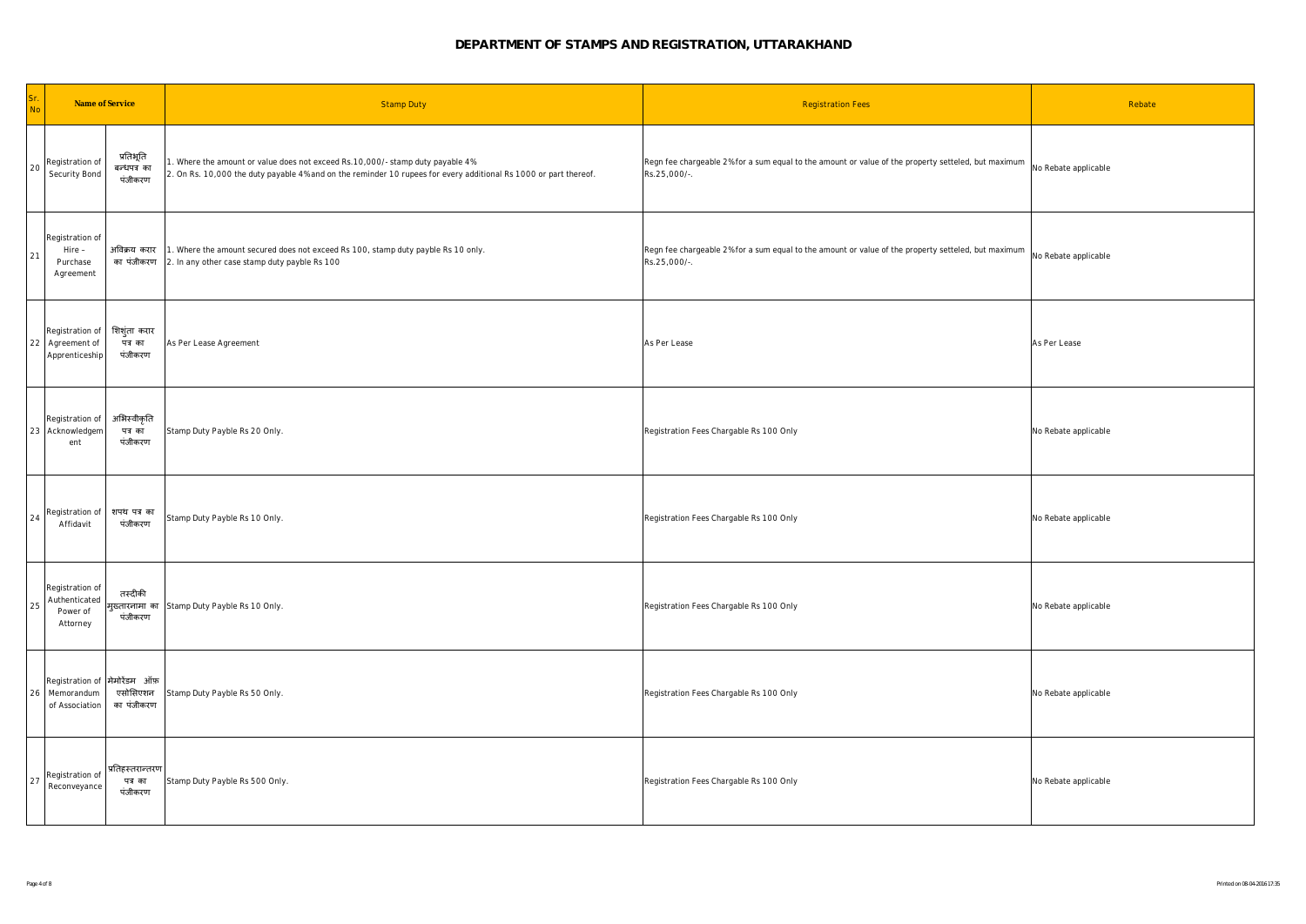| Sr.<br>No | Name of Service                                                  |                                        | <b>Stamp Duty</b>                                                                                                                                                                                 | <b>Registration Fees</b>                                                                                            | Rebate               |
|-----------|------------------------------------------------------------------|----------------------------------------|---------------------------------------------------------------------------------------------------------------------------------------------------------------------------------------------------|---------------------------------------------------------------------------------------------------------------------|----------------------|
| 20        | Registration of<br>Security Bond                                 | प्रतिभूति<br>बन्धपत्र का<br>पंजीकरण    | . Where the amount or value does not exceed Rs.10,000/- stamp duty payable 4%<br>2. On Rs. 10,000 the duty payable 4% and on the reminder 10 rupees for every additional Rs 1000 or part thereof. | Regn fee chargeable 2% for a sum equal to the amount or value of the property setteled, but maximum<br>Rs.25,000/-. | No Rebate applicable |
| 21        | Registration of<br>Hire -<br>Purchase<br>Agreement               | अविक्रय करार<br>का पंजीकरण             | 1. Where the amount secured does not exceed Rs 100, stamp duty payble Rs 10 only.<br>2. In any other case stamp duty payble Rs 100                                                                | Regn fee chargeable 2% for a sum equal to the amount or value of the property setteled, but maximum<br>Rs.25,000/-. | No Rebate applicable |
|           | Registration of<br>22 Agreement of<br>Apprenticeship             | शिशुंता करार<br>पत्रका<br>पंजीकरण      | As Per Lease Agreement                                                                                                                                                                            | As Per Lease                                                                                                        | As Per Lease         |
|           | Registration of<br>23 Acknowledgem<br>ent                        | अभिस्वीकृति<br>पत्र का<br>पंजीकरण      | Stamp Duty Payble Rs 20 Only.                                                                                                                                                                     | Registration Fees Chargable Rs 100 Only                                                                             | No Rebate applicable |
| 24        | Registration of<br>Affidavit                                     | शपथ पत्र का<br>पंजीकरण                 | Stamp Duty Payble Rs 10 Only.                                                                                                                                                                     | Registration Fees Chargable Rs 100 Only                                                                             | No Rebate applicable |
| 25        | Registration of<br>Authenticated<br>Power of<br>Attorney         | तस्दीकी<br>म्ख्तारनामा का<br>पंजीकरण   | Stamp Duty Payble Rs 10 Only.                                                                                                                                                                     | Registration Fees Chargable Rs 100 Only                                                                             | No Rebate applicable |
|           | Registration of मेमोरेंडम ऑफ़<br>26 Memorandum<br>of Association | एसोसिएशन<br>का पंजीकरण                 | Stamp Duty Payble Rs 50 Only.                                                                                                                                                                     | Registration Fees Chargable Rs 100 Only                                                                             | No Rebate applicable |
| 27        | Registration of<br>Reconveyance                                  | प्रतिहस्तरान्तरण<br>पत्र का<br>पंजीकरण | Stamp Duty Payble Rs 500 Only.                                                                                                                                                                    | Registration Fees Chargable Rs 100 Only                                                                             | No Rebate applicable |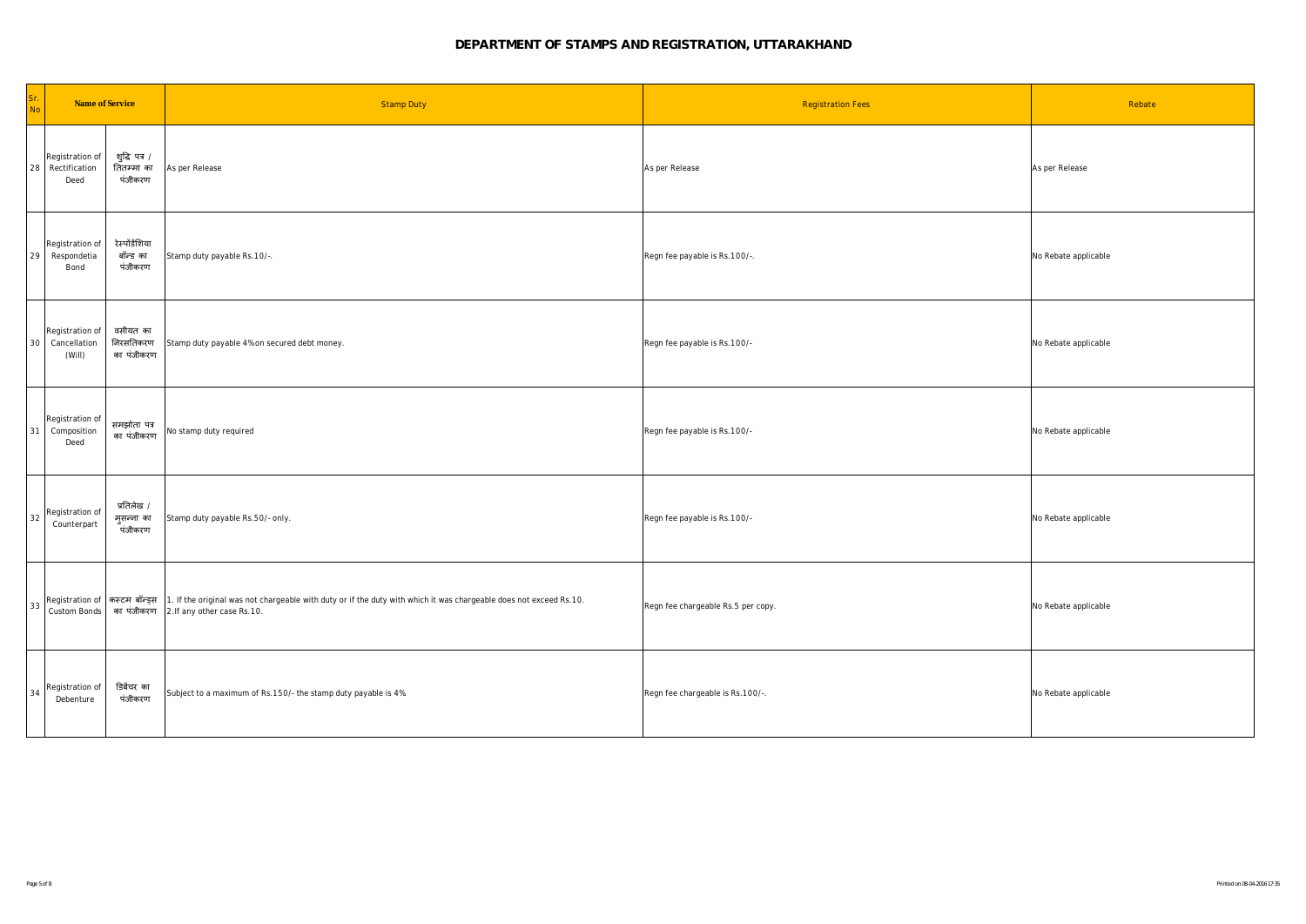| Sr.<br>Name of Service<br><b>No</b>          |                                        | <b>Stamp Duty</b>                                                                                                                                                                                | <b>Registration Fees</b>           | Rebate               |
|----------------------------------------------|----------------------------------------|--------------------------------------------------------------------------------------------------------------------------------------------------------------------------------------------------|------------------------------------|----------------------|
| Registration of<br>28 Rectification<br>Deed  | शुद्धि पत्र /<br>तितम्मा का<br>पंजीकरण | As per Release                                                                                                                                                                                   | As per Release                     | As per Release       |
| Registration of<br>29 Respondetia<br>Bond    | रेस्पोंडेंशिया<br>बॉन्ड का<br>पंजीकरण  | Stamp duty payable Rs.10/-.                                                                                                                                                                      | Regn fee payable is Rs.100/-.      | No Rebate applicable |
| Registration of<br>30 Cancellation<br>(Will) | वसीयत का<br>निरसतिकरण<br>का पंजीकरण    | Stamp duty payable 4% on secured debt money.                                                                                                                                                     | Regn fee payable is Rs.100/-       | No Rebate applicable |
| Registration of<br>31 Composition<br>Deed    | समझोता पत्र<br>का पंजीकरण              | No stamp duty required                                                                                                                                                                           | Regn fee payable is Rs.100/-       | No Rebate applicable |
| Registration of<br>32<br>Counterpart         | प्रतिलेख /<br>मुसन्ना का<br>पंजीकरण    | Stamp duty payable Rs.50/- only.                                                                                                                                                                 | Regn fee payable is Rs.100/-       | No Rebate applicable |
| Custom Bonds                                 |                                        | Registration of <del>RECH News</del> 1. If the original was not chargeable with duty or if the duty with which it was chargeable does not exceed Rs.10.<br>का पंजीकरण 2.If any other case Rs.10. | Regn fee chargeable Rs.5 per copy. | No Rebate applicable |
| Registration of<br>34<br>Debenture           | डिबेंचर का<br>पंजीकरण                  | Subject to a maximum of Rs.150/- the stamp duty payable is 4%.                                                                                                                                   | Regn fee chargeable is Rs.100/-.   | No Rebate applicable |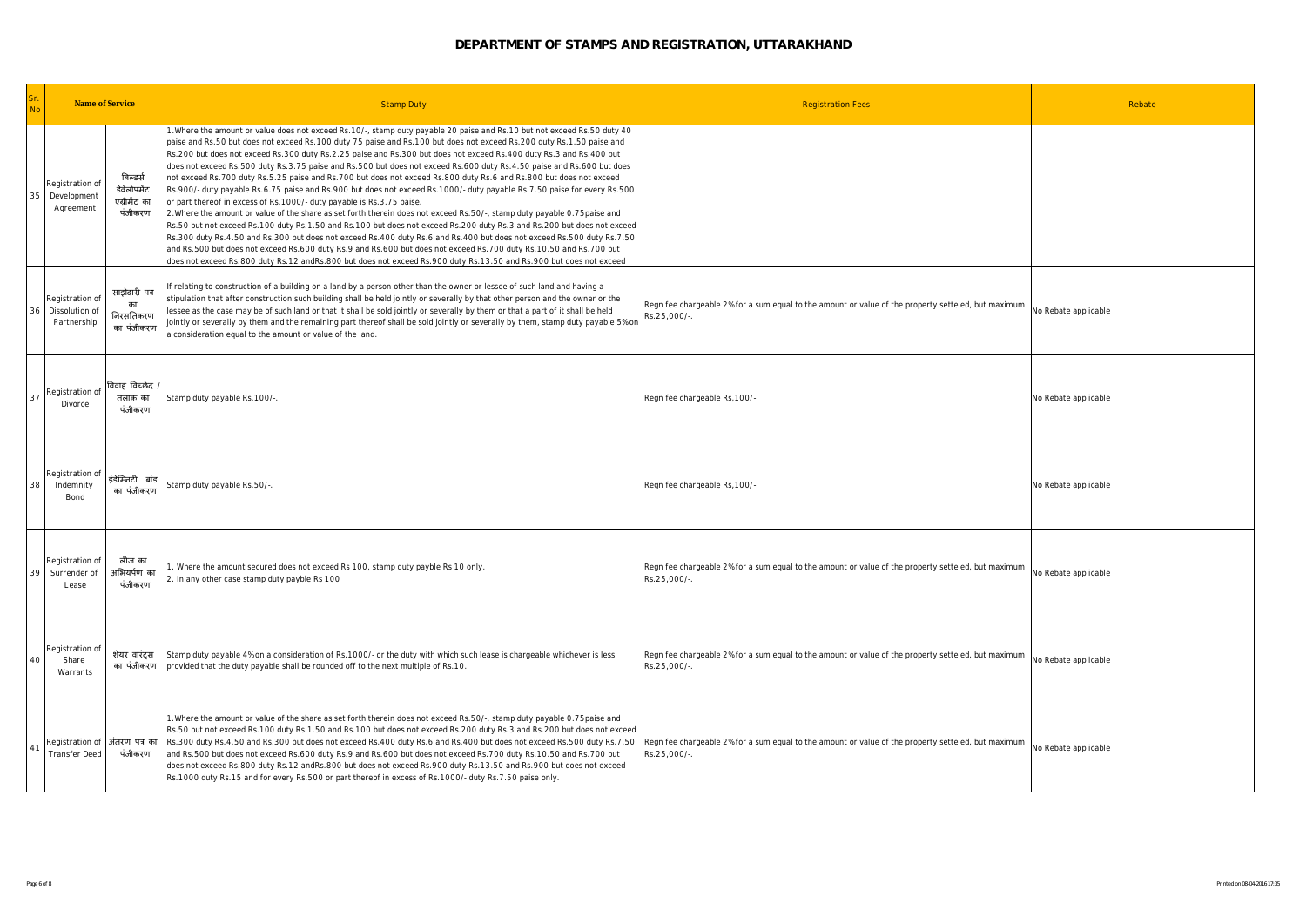| Sr.<br>Name of Service<br><b>No</b>                          |                                                    | <b>Stamp Duty</b>                                                                                                                                                                                                                                                                                                                                                                                                                                                                                                                                                                                                                                                                                                                                                                                                                                                                                                                                                                                                                                                                                                                                                                                                                                                                                                                                                                                                                                                  | <b>Registration Fees</b>                                                                                            | Rebate               |
|--------------------------------------------------------------|----------------------------------------------------|--------------------------------------------------------------------------------------------------------------------------------------------------------------------------------------------------------------------------------------------------------------------------------------------------------------------------------------------------------------------------------------------------------------------------------------------------------------------------------------------------------------------------------------------------------------------------------------------------------------------------------------------------------------------------------------------------------------------------------------------------------------------------------------------------------------------------------------------------------------------------------------------------------------------------------------------------------------------------------------------------------------------------------------------------------------------------------------------------------------------------------------------------------------------------------------------------------------------------------------------------------------------------------------------------------------------------------------------------------------------------------------------------------------------------------------------------------------------|---------------------------------------------------------------------------------------------------------------------|----------------------|
| Registration of<br>35<br>Development<br>Agreement            | बिल्डर्स<br>डेवेलोपमेंट<br>एग्रीमेंट का<br>पंजीकरण | 1. Where the amount or value does not exceed Rs. 10/-, stamp duty payable 20 paise and Rs. 10 but not exceed Rs. 50 duty 40<br>paise and Rs.50 but does not exceed Rs.100 duty 75 paise and Rs.100 but does not exceed Rs.200 duty Rs.1.50 paise and<br>Rs.200 but does not exceed Rs.300 duty Rs.2.25 paise and Rs.300 but does not exceed Rs.400 duty Rs.3 and Rs.400 but<br>does not exceed Rs.500 duty Rs.3.75 paise and Rs.500 but does not exceed Rs.600 duty Rs.4.50 paise and Rs.600 but does<br>not exceed Rs.700 duty Rs.5.25 paise and Rs.700 but does not exceed Rs.800 duty Rs.6 and Rs.800 but does not exceed<br>Rs.900/- duty payable Rs.6.75 paise and Rs.900 but does not exceed Rs.1000/- duty payable Rs.7.50 paise for every Rs.500<br>or part thereof in excess of Rs. 1000/- duty payable is Rs. 3.75 paise.<br>2. Where the amount or value of the share as set forth therein does not exceed Rs.50/-, stamp duty payable 0.75 paise and<br>Rs.50 but not exceed Rs.100 duty Rs.1.50 and Rs.100 but does not exceed Rs.200 duty Rs.3 and Rs.200 but does not exceed<br>Rs.300 duty Rs.4.50 and Rs.300 but does not exceed Rs.400 duty Rs.6 and Rs.400 but does not exceed Rs.500 duty Rs.7.50<br>and Rs.500 but does not exceed Rs.600 duty Rs.9 and Rs.600 but does not exceed Rs.700 duty Rs.10.50 and Rs.700 but<br>does not exceed Rs.800 duty Rs.12 andRs.800 but does not exceed Rs.900 duty Rs.13.50 and Rs.900 but does not exceed |                                                                                                                     |                      |
| Registration of<br>Dissolution of<br>36<br>Partnership       | साझेदारी पत्र<br>का<br>निरसतिकरण<br>का पंजीकरण     | f relating to construction of a building on a land by a person other than the owner or lessee of such land and having a<br>stipulation that after construction such building shall be held jointly or severally by that other person and the owner or the<br>lessee as the case may be of such land or that it shall be sold jointly or severally by them or that a part of it shall be held<br>ointly or severally by them and the remaining part thereof shall be sold jointly or severally by them, stamp duty payable 5% on<br>a consideration equal to the amount or value of the land.                                                                                                                                                                                                                                                                                                                                                                                                                                                                                                                                                                                                                                                                                                                                                                                                                                                                       | Regn fee chargeable 2% for a sum equal to the amount or value of the property setteled, but maximum<br>Rs.25,000/-  | No Rebate applicable |
| Registration of<br>37<br>Divorce                             | विवाह विच्छेद .<br>तलाक़ का<br>पंजीकरण             | Stamp duty payable Rs.100/-.                                                                                                                                                                                                                                                                                                                                                                                                                                                                                                                                                                                                                                                                                                                                                                                                                                                                                                                                                                                                                                                                                                                                                                                                                                                                                                                                                                                                                                       | Regn fee chargeable Rs, 100/-.                                                                                      | No Rebate applicable |
| Registration of<br>38<br>Indemnity<br>Bond                   | इंडेम्निटी बांड<br>का पंजीकरण                      | Stamp duty payable Rs.50/-.                                                                                                                                                                                                                                                                                                                                                                                                                                                                                                                                                                                                                                                                                                                                                                                                                                                                                                                                                                                                                                                                                                                                                                                                                                                                                                                                                                                                                                        | Regn fee chargeable Rs, 100/-.                                                                                      | No Rebate applicable |
| Registration of<br>39<br>Surrender of<br>Lease               | लीज का<br><b>अभियर्पण</b> का<br>पंजीकरण            | Where the amount secured does not exceed Rs 100, stamp duty payble Rs 10 only.<br>2. In any other case stamp duty payble Rs 100                                                                                                                                                                                                                                                                                                                                                                                                                                                                                                                                                                                                                                                                                                                                                                                                                                                                                                                                                                                                                                                                                                                                                                                                                                                                                                                                    | Regn fee chargeable 2% for a sum equal to the amount or value of the property setteled, but maximum<br>Rs.25,000/-  | No Rebate applicable |
| Registration of<br>40<br>Share<br>Warrants                   | शेयर वारंट्स<br>का पंजीकरण                         | Stamp duty payable 4% on a consideration of Rs.1000/- or the duty with which such lease is chargeable whichever is less<br>provided that the duty payable shall be rounded off to the next multiple of Rs.10.                                                                                                                                                                                                                                                                                                                                                                                                                                                                                                                                                                                                                                                                                                                                                                                                                                                                                                                                                                                                                                                                                                                                                                                                                                                      | Regn fee chargeable 2% for a sum equal to the amount or value of the property setteled, but maximum<br>Rs.25,000/-  | No Rebate applicable |
| Registration of  अंतरण पत्र का<br>41<br><b>Transfer Deed</b> | पंजीकरण                                            | 1. Where the amount or value of the share as set forth therein does not exceed Rs. 50/-, stamp duty payable 0.75paise and<br>Rs.50 but not exceed Rs.100 duty Rs.1.50 and Rs.100 but does not exceed Rs.200 duty Rs.3 and Rs.200 but does not exceed<br>Rs.300 duty Rs.4.50 and Rs.300 but does not exceed Rs.400 duty Rs.6 and Rs.400 but does not exceed Rs.500 duty Rs.7.50<br>and Rs.500 but does not exceed Rs.600 duty Rs.9 and Rs.600 but does not exceed Rs.700 duty Rs.10.50 and Rs.700 but<br>does not exceed Rs.800 duty Rs.12 andRs.800 but does not exceed Rs.900 duty Rs.13.50 and Rs.900 but does not exceed<br>Rs. 1000 duty Rs. 15 and for every Rs. 500 or part thereof in excess of Rs. 1000/- duty Rs. 7. 50 paise only.                                                                                                                                                                                                                                                                                                                                                                                                                                                                                                                                                                                                                                                                                                                       | Regn fee chargeable 2% for a sum equal to the amount or value of the property setteled, but maximum<br>Rs.25,000/-. | No Rebate applicable |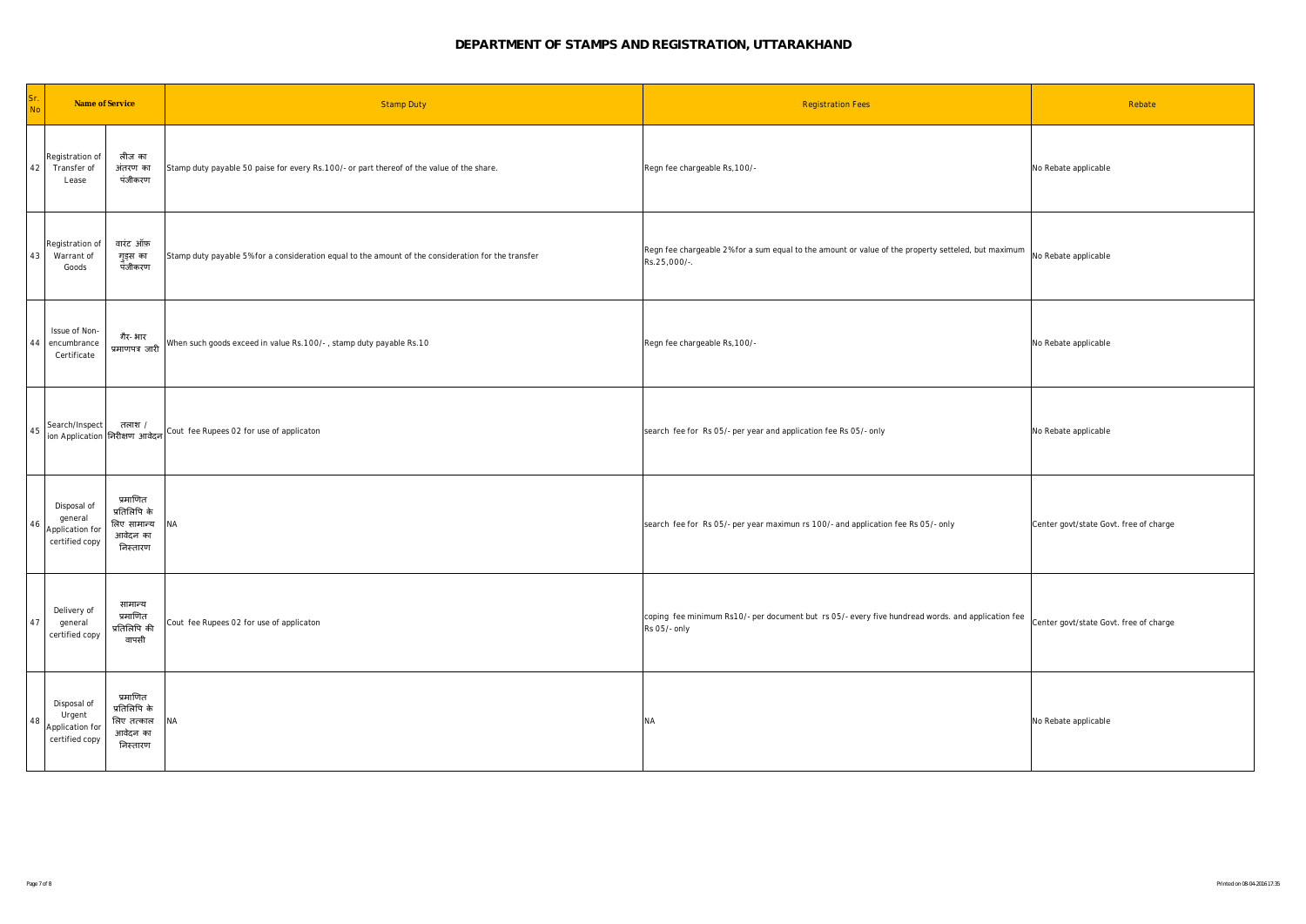| Sr.<br>No | Name of Service                                             |                                                                 | <b>Stamp Duty</b>                                                                                   | <b>Registration Fees</b>                                                                                            | Rebate                                 |
|-----------|-------------------------------------------------------------|-----------------------------------------------------------------|-----------------------------------------------------------------------------------------------------|---------------------------------------------------------------------------------------------------------------------|----------------------------------------|
| 42        | Registration of<br>Transfer of<br>Lease                     | लीज का<br>अंतरण का<br>पंजीकरण                                   | Stamp duty payable 50 paise for every Rs. 100/- or part thereof of the value of the share.          | Regn fee chargeable Rs, 100/-                                                                                       | No Rebate applicable                   |
| 43        | Registration of<br>Warrant of<br>Goods                      | वारंट ऑफ़<br>गुड्स का<br>पंजीकरण                                | Stamp duty payable 5% for a consideration equal to the amount of the consideration for the transfer | Regn fee chargeable 2% for a sum equal to the amount or value of the property setteled, but maximum<br>Rs.25,000/-. | No Rebate applicable                   |
| 44        | Issue of Non-<br>encumbrance<br>Certificate                 | गैर- भार<br>प्रमाणपत्र जारी                                     | When such goods exceed in value Rs. 100/-, stamp duty payable Rs. 10                                | Regn fee chargeable Rs, 100/-                                                                                       | No Rebate applicable                   |
| $45\,$    | Search/Inspect<br>ion Application निरीक्षण आवेदन            | तलाश /                                                          | Cout fee Rupees 02 for use of applicaton                                                            | search fee for Rs 05/- per year and application fee Rs 05/- only                                                    | No Rebate applicable                   |
| 46        | Disposal of<br>general<br>Application for<br>certified copy | प्रमाणित<br>प्रतिलिपि के<br>लिए सामान्य<br>आवेदन का<br>निस्तारण | ΝA                                                                                                  | search fee for Rs 05/- per year maximun rs 100/- and application fee Rs 05/- only                                   | Center govt/state Govt. free of charge |
| 47        | Delivery of<br>general<br>certified copy                    | सामान्य<br>प्रमाणित<br>प्रतिलिपि की<br>वापसी                    | Cout fee Rupees 02 for use of applicaton                                                            | coping fee minimum Rs10/- per document but rs 05/- every five hundread words. and application fee<br>Rs 05/- only   | Center govt/state Govt. free of charge |
| 48        | Disposal of<br>Urgent<br>Application for<br>certified copy  | प्रमाणित<br>प्रतिलिपि के<br>लिए तत्काल<br>आवेदन का<br>निस्तारण  | NA                                                                                                  | <b>NA</b>                                                                                                           | No Rebate applicable                   |